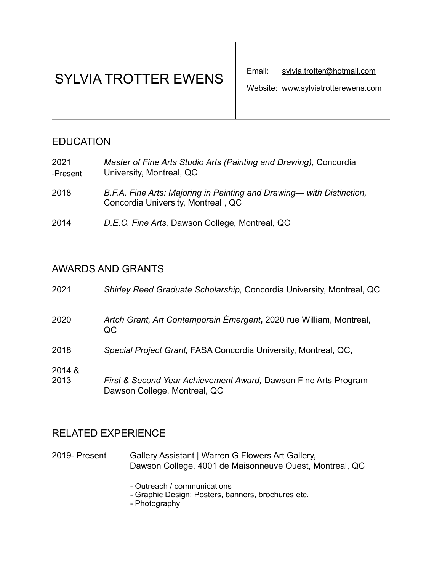# SYLVIA TROTTER EWENS

Website: www.sylviatrotterewens.com

# **EDUCATION**

| 2021     | Master of Fine Arts Studio Arts (Painting and Drawing), Concordia |
|----------|-------------------------------------------------------------------|
| -Present | University, Montreal, QC                                          |

- 2018 *B.F.A. Fine Arts: Majoring in Painting and Drawing— with Distinction,*Concordia University, Montreal , QC
- 2014 *D.E.C. Fine Arts,* Dawson College*,* Montreal, QC

## AWARDS AND GRANTS

| 2021           | Shirley Reed Graduate Scholarship, Concordia University, Montreal, QC                           |
|----------------|-------------------------------------------------------------------------------------------------|
| 2020           | Artch Grant, Art Contemporain Émergent, 2020 rue William, Montreal,<br>QC.                      |
| 2018           | Special Project Grant, FASA Concordia University, Montreal, QC,                                 |
| 2014 &<br>2013 | First & Second Year Achievement Award, Dawson Fine Arts Program<br>Dawson College, Montreal, QC |

# RELATED EXPERIENCE

2019- Present Gallery Assistant | Warren G Flowers Art Gallery, Dawson College, 4001 de Maisonneuve Ouest, Montreal, QC

- Outreach / communications

- Graphic Design: Posters, banners, brochures etc.
- Photography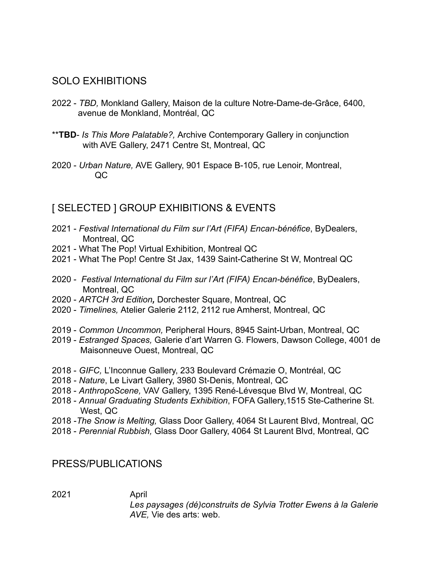#### SOLO EXHIBITIONS

- 2022 *TBD,* Monkland Gallery, Maison de la culture Notre-Dame-de-Grâce, 6400, avenue de Monkland, Montréal, QC
- \*\***TBD** *Is This More Palatable?,* Archive Contemporary Gallery in conjunction with AVE Gallery, 2471 Centre St, Montreal, QC
- 2020 *Urban Nature,* AVE Gallery, 901 Espace B-105, rue Lenoir, Montreal, QC

## [ SELECTED ] GROUP EXHIBITIONS & EVENTS

- 2021 *Festival International du Film sur l'Art (FIFA) Encan-bénéfice*, ByDealers, Montreal, QC
- 2021 What The Pop! Virtual Exhibition, Montreal QC
- 2021 What The Pop! Centre St Jax, 1439 Saint-Catherine St W, Montreal QC
- 2020 *Festival International du Film sur l'Art (FIFA) Encan-bénéfice*, ByDealers, Montreal, QC
- 2020 *ARTCH 3rd Edition,* Dorchester Square, Montreal, QC
- 2020 *Timelines,* Atelier Galerie 2112, 2112 rue Amherst, Montreal, QC
- 2019 *Common Uncommon,* Peripheral Hours, 8945 Saint-Urban, Montreal, QC
- 2019 *Estranged Spaces,* Galerie d'art Warren G. Flowers, Dawson College, 4001 de Maisonneuve Ouest, Montreal, QC
- 2018 *GIFC,* L'Inconnue Gallery, 233 Boulevard Crémazie O, Montréal, QC
- 2018 - *Nature*, Le Livart Gallery, 3980 St-Denis, Montreal, QC
- 2018 *AnthropoScene,* VAV Gallery, 1395 René-Lévesque Blvd W, Montreal, QC
- 2018 *Annual Graduating Students Exhibition*, FOFA Gallery,1515 Ste-Catherine St. West, QC
- 2018 -*The Snow is Melting,* Glass Door Gallery, 4064 St Laurent Blvd, Montreal, QC
- 2018 *Perennial Rubbish,* Glass Door Gallery, 4064 St Laurent Blvd, Montreal, QC

#### PRESS/PUBLICATIONS

2021 April

 *Les paysages (dé)construits de Sylvia Trotter Ewens à la Galerie AVE,* Vie des arts: web.